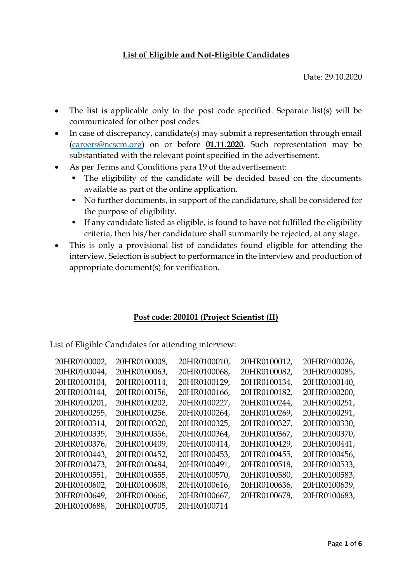## **List of Eligible and Not-Eligible Candidates**

Date: 29.10.2020

- The list is applicable only to the post code specified. Separate list(s) will be communicated for other post codes.
- In case of discrepancy, candidate(s) may submit a representation through email [\(careers@ncscm.org\)](mailto:careers@ncscm.org) on or before **01.11.2020**. Such representation may be substantiated with the relevant point specified in the advertisement.
- As per Terms and Conditions para 19 of the advertisement:
	- The eligibility of the candidate will be decided based on the documents available as part of the online application.
	- No further documents, in support of the candidature, shall be considered for the purpose of eligibility.
	- If any candidate listed as eligible, is found to have not fulfilled the eligibility criteria, then his/her candidature shall summarily be rejected, at any stage.
- This is only a provisional list of candidates found eligible for attending the interview. Selection is subject to performance in the interview and production of appropriate document(s) for verification.

## **Post code: 200101 (Project Scientist (II)**

List of Eligible Candidates for attending interview:

| 20HR0100002, | 20HR0100008, | 20HR0100010, | 20HR0100012, | 20HR0100026, |
|--------------|--------------|--------------|--------------|--------------|
| 20HR0100044, | 20HR0100063, | 20HR0100068, | 20HR0100082, | 20HR0100085, |
| 20HR0100104, | 20HR0100114, | 20HR0100129, | 20HR0100134, | 20HR0100140, |
| 20HR0100144, | 20HR0100156, | 20HR0100166, | 20HR0100182, | 20HR0100200, |
| 20HR0100201, | 20HR0100202, | 20HR0100227. | 20HR0100244, | 20HR0100251, |
| 20HR0100255, | 20HR0100256, | 20HR0100264, | 20HR0100269, | 20HR0100291, |
| 20HR0100314, | 20HR0100320, | 20HR0100325, | 20HR0100327, | 20HR0100330, |
| 20HR0100335, | 20HR0100356, | 20HR0100364, | 20HR0100367, | 20HR0100370, |
| 20HR0100376, | 20HR0100409, | 20HR0100414, | 20HR0100429, | 20HR0100441, |
| 20HR0100443, | 20HR0100452, | 20HR0100453, | 20HR0100455, | 20HR0100456, |
| 20HR0100473, | 20HR0100484, | 20HR0100491, | 20HR0100518, | 20HR0100533, |
| 20HR0100551, | 20HR0100555, | 20HR0100570, | 20HR0100580, | 20HR0100583, |
| 20HR0100602, | 20HR0100608, | 20HR0100616, | 20HR0100636, | 20HR0100639, |
| 20HR0100649, | 20HR0100666, | 20HR0100667, | 20HR0100678, | 20HR0100683, |
| 20HR0100688, | 20HR0100705, | 20HR0100714  |              |              |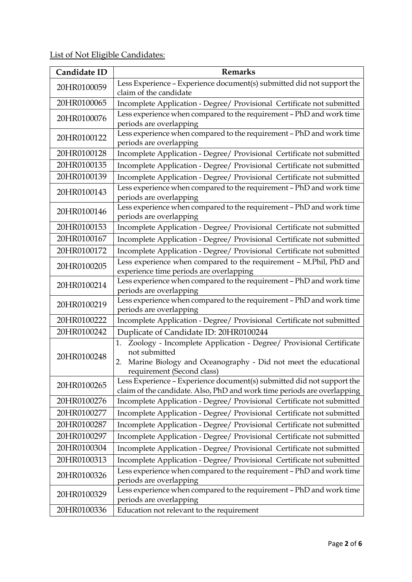List of Not Eligible Candidates:

| Candidate ID | <b>Remarks</b>                                                                                                                                                                                  |
|--------------|-------------------------------------------------------------------------------------------------------------------------------------------------------------------------------------------------|
| 20HR0100059  | Less Experience - Experience document(s) submitted did not support the                                                                                                                          |
|              | claim of the candidate                                                                                                                                                                          |
| 20HR0100065  | Incomplete Application - Degree/ Provisional Certificate not submitted                                                                                                                          |
| 20HR0100076  | Less experience when compared to the requirement - PhD and work time<br>periods are overlapping                                                                                                 |
| 20HR0100122  | Less experience when compared to the requirement - PhD and work time<br>periods are overlapping                                                                                                 |
| 20HR0100128  | Incomplete Application - Degree/ Provisional Certificate not submitted                                                                                                                          |
| 20HR0100135  | Incomplete Application - Degree/ Provisional Certificate not submitted                                                                                                                          |
| 20HR0100139  | Incomplete Application - Degree/ Provisional Certificate not submitted                                                                                                                          |
| 20HR0100143  | Less experience when compared to the requirement - PhD and work time<br>periods are overlapping                                                                                                 |
| 20HR0100146  | Less experience when compared to the requirement - PhD and work time<br>periods are overlapping                                                                                                 |
| 20HR0100153  | Incomplete Application - Degree/ Provisional Certificate not submitted                                                                                                                          |
| 20HR0100167  | Incomplete Application - Degree/ Provisional Certificate not submitted                                                                                                                          |
| 20HR0100172  | Incomplete Application - Degree/ Provisional Certificate not submitted                                                                                                                          |
| 20HR0100205  | Less experience when compared to the requirement - M.Phil, PhD and<br>experience time periods are overlapping                                                                                   |
| 20HR0100214  | Less experience when compared to the requirement - PhD and work time<br>periods are overlapping                                                                                                 |
| 20HR0100219  | Less experience when compared to the requirement - PhD and work time<br>periods are overlapping                                                                                                 |
| 20HR0100222  | Incomplete Application - Degree/ Provisional Certificate not submitted                                                                                                                          |
| 20HR0100242  | Duplicate of Candidate ID: 20HR0100244                                                                                                                                                          |
| 20HR0100248  | Zoology - Incomplete Application - Degree/ Provisional Certificate<br>1.<br>not submitted<br>Marine Biology and Oceanography - Did not meet the educational<br>2.<br>requirement (Second class) |
| 20HR0100265  | Less Experience - Experience document(s) submitted did not support the<br>claim of the candidate. Also, PhD and work time periods are overlapping                                               |
| 20HR0100276  | Incomplete Application - Degree/ Provisional Certificate not submitted                                                                                                                          |
| 20HR0100277  | Incomplete Application - Degree/ Provisional Certificate not submitted                                                                                                                          |
| 20HR0100287  | Incomplete Application - Degree/ Provisional Certificate not submitted                                                                                                                          |
| 20HR0100297  | Incomplete Application - Degree/ Provisional Certificate not submitted                                                                                                                          |
| 20HR0100304  | Incomplete Application - Degree/ Provisional Certificate not submitted                                                                                                                          |
| 20HR0100313  | Incomplete Application - Degree/ Provisional Certificate not submitted                                                                                                                          |
| 20HR0100326  | Less experience when compared to the requirement - PhD and work time<br>periods are overlapping                                                                                                 |
| 20HR0100329  | Less experience when compared to the requirement - PhD and work time<br>periods are overlapping                                                                                                 |
| 20HR0100336  | Education not relevant to the requirement                                                                                                                                                       |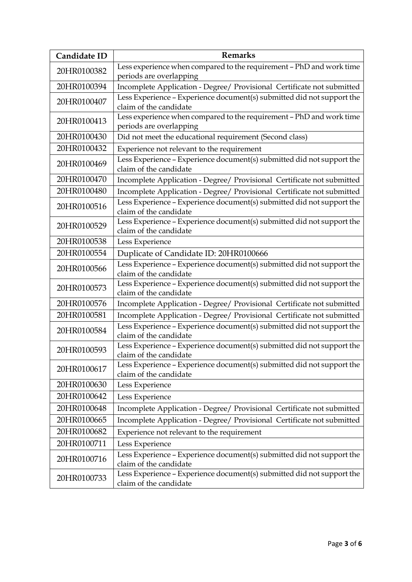| Candidate ID | <b>Remarks</b>                                                                                   |
|--------------|--------------------------------------------------------------------------------------------------|
| 20HR0100382  | Less experience when compared to the requirement - PhD and work time                             |
|              | periods are overlapping                                                                          |
| 20HR0100394  | Incomplete Application - Degree/ Provisional Certificate not submitted                           |
| 20HR0100407  | Less Experience - Experience document(s) submitted did not support the<br>claim of the candidate |
| 20HR0100413  | Less experience when compared to the requirement - PhD and work time<br>periods are overlapping  |
| 20HR0100430  | Did not meet the educational requirement (Second class)                                          |
| 20HR0100432  | Experience not relevant to the requirement                                                       |
| 20HR0100469  | Less Experience - Experience document(s) submitted did not support the<br>claim of the candidate |
| 20HR0100470  | Incomplete Application - Degree/ Provisional Certificate not submitted                           |
| 20HR0100480  | Incomplete Application - Degree/ Provisional Certificate not submitted                           |
| 20HR0100516  | Less Experience - Experience document(s) submitted did not support the<br>claim of the candidate |
| 20HR0100529  | Less Experience - Experience document(s) submitted did not support the<br>claim of the candidate |
| 20HR0100538  | Less Experience                                                                                  |
| 20HR0100554  | Duplicate of Candidate ID: 20HR0100666                                                           |
| 20HR0100566  | Less Experience - Experience document(s) submitted did not support the<br>claim of the candidate |
| 20HR0100573  | Less Experience - Experience document(s) submitted did not support the<br>claim of the candidate |
| 20HR0100576  | Incomplete Application - Degree/ Provisional Certificate not submitted                           |
| 20HR0100581  | Incomplete Application - Degree/ Provisional Certificate not submitted                           |
| 20HR0100584  | Less Experience - Experience document(s) submitted did not support the<br>claim of the candidate |
| 20HR0100593  | Less Experience - Experience document(s) submitted did not support the<br>claim of the candidate |
| 20HR0100617  | Less Experience - Experience document(s) submitted did not support the<br>claim of the candidate |
| 20HR0100630  | Less Experience                                                                                  |
| 20HR0100642  | Less Experience                                                                                  |
| 20HR0100648  | Incomplete Application - Degree/ Provisional Certificate not submitted                           |
| 20HR0100665  | Incomplete Application - Degree/ Provisional Certificate not submitted                           |
| 20HR0100682  | Experience not relevant to the requirement                                                       |
| 20HR0100711  | Less Experience                                                                                  |
| 20HR0100716  | Less Experience - Experience document(s) submitted did not support the<br>claim of the candidate |
| 20HR0100733  | Less Experience - Experience document(s) submitted did not support the<br>claim of the candidate |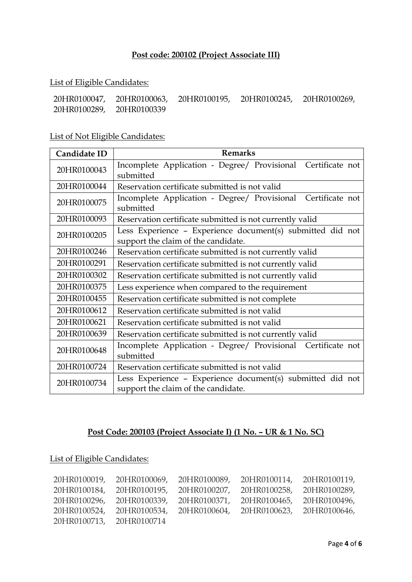# **Post code: 200102 (Project Associate III)**

#### List of Eligible Candidates:

| 20HR0100047, |             | 20HR0100063, 20HR0100195, 20HR0100245, | 20HR0100269, |
|--------------|-------------|----------------------------------------|--------------|
| 20HR0100289, | 20HR0100339 |                                        |              |

# List of Not Eligible Candidates:

| Candidate ID | <b>Remarks</b>                                                                                    |
|--------------|---------------------------------------------------------------------------------------------------|
| 20HR0100043  | Incomplete Application - Degree/ Provisional Certificate not<br>submitted                         |
| 20HR0100044  | Reservation certificate submitted is not valid                                                    |
| 20HR0100075  | Incomplete Application - Degree/ Provisional Certificate not<br>submitted                         |
| 20HR0100093  | Reservation certificate submitted is not currently valid                                          |
| 20HR0100205  | Less Experience - Experience document(s) submitted did not<br>support the claim of the candidate. |
| 20HR0100246  | Reservation certificate submitted is not currently valid                                          |
| 20HR0100291  | Reservation certificate submitted is not currently valid                                          |
| 20HR0100302  | Reservation certificate submitted is not currently valid                                          |
| 20HR0100375  | Less experience when compared to the requirement                                                  |
| 20HR0100455  | Reservation certificate submitted is not complete                                                 |
| 20HR0100612  | Reservation certificate submitted is not valid                                                    |
| 20HR0100621  | Reservation certificate submitted is not valid                                                    |
| 20HR0100639  | Reservation certificate submitted is not currently valid                                          |
| 20HR0100648  | Incomplete Application - Degree/ Provisional Certificate not<br>submitted                         |
| 20HR0100724  | Reservation certificate submitted is not valid                                                    |
| 20HR0100734  | Less Experience - Experience document(s) submitted did not<br>support the claim of the candidate. |

# **Post Code: 200103 (Project Associate I) (1 No. – UR & 1 No. SC)**

List of Eligible Candidates:

|                           | 20HR0100019, 20HR0100069, | 20HR0100089, 20HR0100114, 20HR0100119, |              |
|---------------------------|---------------------------|----------------------------------------|--------------|
|                           | 20HR0100184, 20HR0100195, | 20HR0100207, 20HR0100258,              | 20HR0100289, |
|                           | 20HR0100296, 20HR0100339, | 20HR0100371, 20HR0100465, 20HR0100496, |              |
| 20HR0100524, 20HR0100534, |                           | 20HR0100604, 20HR0100623, 20HR0100646, |              |
| 20HR0100713, 20HR0100714  |                           |                                        |              |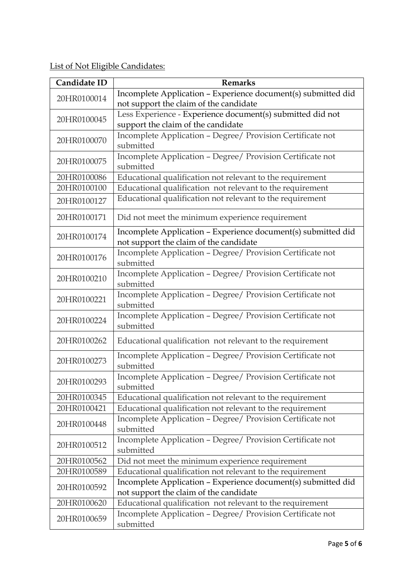List of Not Eligible Candidates:

| Candidate ID | <b>Remarks</b>                                                                                          |
|--------------|---------------------------------------------------------------------------------------------------------|
| 20HR0100014  | Incomplete Application - Experience document(s) submitted did                                           |
|              | not support the claim of the candidate                                                                  |
| 20HR0100045  | Less Experience - Experience document(s) submitted did not                                              |
|              | support the claim of the candidate                                                                      |
| 20HR0100070  | Incomplete Application - Degree/ Provision Certificate not<br>submitted                                 |
| 20HR0100075  | Incomplete Application - Degree/ Provision Certificate not<br>submitted                                 |
| 20HR0100086  | Educational qualification not relevant to the requirement                                               |
| 20HR0100100  | Educational qualification not relevant to the requirement                                               |
| 20HR0100127  | Educational qualification not relevant to the requirement                                               |
| 20HR0100171  | Did not meet the minimum experience requirement                                                         |
| 20HR0100174  | Incomplete Application - Experience document(s) submitted did<br>not support the claim of the candidate |
| 20HR0100176  | Incomplete Application - Degree/ Provision Certificate not<br>submitted                                 |
| 20HR0100210  | Incomplete Application - Degree/ Provision Certificate not<br>submitted                                 |
| 20HR0100221  | Incomplete Application - Degree/ Provision Certificate not<br>submitted                                 |
| 20HR0100224  | Incomplete Application - Degree/ Provision Certificate not<br>submitted                                 |
| 20HR0100262  | Educational qualification not relevant to the requirement                                               |
| 20HR0100273  | Incomplete Application - Degree/ Provision Certificate not<br>submitted                                 |
| 20HR0100293  | Incomplete Application - Degree/ Provision Certificate not<br>submitted                                 |
| 20HR0100345  | Educational qualification not relevant to the requirement                                               |
| 20HR0100421  | Educational qualification not relevant to the requirement                                               |
| 20HR0100448  | Incomplete Application - Degree/ Provision Certificate not<br>submitted                                 |
| 20HR0100512  | Incomplete Application - Degree/ Provision Certificate not<br>submitted                                 |
| 20HR0100562  | Did not meet the minimum experience requirement                                                         |
| 20HR0100589  | Educational qualification not relevant to the requirement                                               |
| 20HR0100592  | Incomplete Application - Experience document(s) submitted did<br>not support the claim of the candidate |
| 20HR0100620  | Educational qualification not relevant to the requirement                                               |
| 20HR0100659  | Incomplete Application - Degree/ Provision Certificate not<br>submitted                                 |